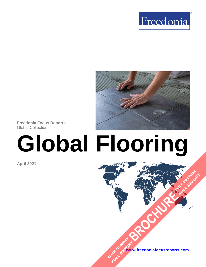



**Freedonia Focus Reports** Global Collection

# **Global Flooring**

**April 2021**

**[www.freedoniafocusreports.com](https://www.freedoniafocusreports.com/redirect.asp?progid=89534&url=/)** CLICK TO ORDER **FULL REPORT** 

**[BROCHURE](https://www.freedoniafocusreports.com/Global-Flooring-FW60053/?progid=89541) CLICK TO ORDER** 

**FULL REPORT**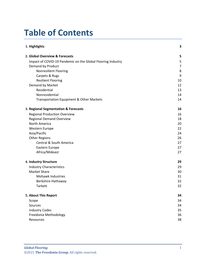# **Table of Contents**

| 1. Highlights                                               | 3              |
|-------------------------------------------------------------|----------------|
| 2. Global Overview & Forecasts                              | 5              |
| Impact of COVID-19 Pandemic on the Global Flooring Industry | 5              |
| Demand by Product                                           | $\overline{7}$ |
| <b>Nonresilient Flooring</b>                                | 8              |
| Carpets & Rugs                                              | 9              |
| <b>Resilient Flooring</b>                                   | 10             |
| Demand by Market                                            | 12             |
| Residential                                                 | 13             |
| Nonresidential                                              | 14             |
| Transportation Equipment & Other Markets                    | 14             |
| 3. Regional Segmentation & Forecasts                        | 16             |
| <b>Regional Production Overview</b>                         | 16             |
| <b>Regional Demand Overview</b>                             | 18             |
| North America                                               | 20             |
| Western Europe                                              | 22             |
| Asia/Pacific                                                | 24             |
| <b>Other Regions</b>                                        | 26             |
| <b>Central &amp; South America</b>                          | 27             |
| Eastern Europe                                              | 27             |
| Africa/Mideast                                              | 27             |
| 4. Industry Structure                                       | 29             |
| <b>Industry Characteristics</b>                             | 29             |
| <b>Market Share</b>                                         | 30             |
| <b>Mohawk Industries</b>                                    | 31             |
| Berkshire Hathaway                                          | 32             |
| <b>Tarkett</b>                                              | 32             |
| 5. About This Report                                        | 34             |
| Scope                                                       | 34             |
| Sources                                                     | 34             |
| <b>Industry Codes</b>                                       | 35             |
| Freedonia Methodology                                       | 36             |
| Resources                                                   | 38             |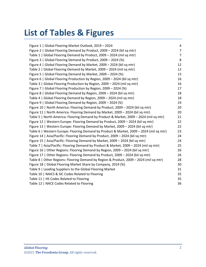# **List of Tables & Figures**

| Figure 1   Global Flooring Market Outlook, 2019 - 2024                                  | 4              |
|-----------------------------------------------------------------------------------------|----------------|
| Figure 2   Global Flooring Demand by Product, 2009 - 2024 (bil sq mtr)                  | $\overline{7}$ |
| Table 1   Global Flooring Demand by Product, 2009 - 2024 (mil sq mtr)                   | $\overline{7}$ |
| Figure 3   Global Flooring Demand by Product, 2009 - 2024 (%)                           | 8              |
| Figure 4   Global Flooring Demand by Market, 2009 - 2024 (bil sq mtr)                   | 12             |
| Table 2   Global Flooring Demand by Market, 2009 - 2024 (mil sq mtr)                    | 12             |
| Figure 5   Global Flooring Demand by Market, 2009 - 2024 (%)                            | 13             |
| Figure 6   Global Flooring Production by Region, 2009 - 2024 (bil sq mtr)               | 16             |
| Table 3   Global Flooring Production by Region, 2009 - 2024 (mil sq mtr)                | 16             |
| Figure 7   Global Flooring Production by Region, 2009 - 2024 (%)                        | 17             |
| Figure 8   Global Flooring Demand by Region, 2009 - 2024 (bil sq mtr)                   | 18             |
| Table 4   Global Flooring Demand by Region, 2009 - 2024 (mil sq mtr)                    | 18             |
| Figure 9   Global Flooring Demand by Region, 2009 - 2024 (%)                            | 19             |
| Figure 10   North America: Flooring Demand by Product, 2009 - 2024 (bil sq mtr)         | 20             |
| Figure 11   North America: Flooring Demand by Market, 2009 - 2024 (bil sq mtr)          | 20             |
| Table 5   North America: Flooring Demand by Product & Market, 2009 - 2024 (mil sq mtr)  | 21             |
| Figure 12   Western Europe: Flooring Demand by Product, 2009 - 2024 (bil sq mtr)        | 22             |
| Figure 13   Western Europe: Flooring Demand by Market, 2009 - 2024 (bil sq mtr)         | 22             |
| Table 6   Western Europe: Flooring Demand by Product & Market, 2009 - 2024 (mil sq mtr) | 23             |
| Figure 14   Asia/Pacific: Flooring Demand by Product, 2009 - 2024 (bil sq mtr)          | 24             |
| Figure 15   Asia/Pacific: Flooring Demand by Market, 2009 - 2024 (bil sq mtr)           | 24             |
| Table 7   Asia/Pacific: Flooring Demand by Product & Market, 2009 - 2024 (mil sq mtr)   | 25             |
| Figure 16   Other Regions: Flooring Demand by Region, 2009 - 2024 (bil sq mtr)          | 26             |
| Figure 17   Other Regions: Flooring Demand by Product, 2009 - 2024 (bil sq mtr)         | 26             |
| Table 8   Other Regions: Flooring Demand by Region & Product, 2009 - 2024 (mil sq mtr)  | 28             |
| Figure 18   Global Flooring Market Share by Company, 2019 (%)                           | 30             |
| Table 9   Leading Suppliers to the Global Flooring Market                               | 31             |
| Table 10   NAICS & SIC Codes Related to Flooring                                        | 35             |
| Table 11   HS Codes Related to Flooring                                                 | 35             |
| Table 12   NACE Codes Related to Flooring                                               | 36             |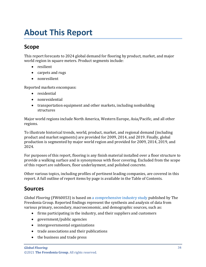# <span id="page-3-0"></span>**About This Report**

# <span id="page-3-1"></span>**Scope**

This report forecasts to 2024 global demand for flooring by product, market, and major world region in square meters. Product segments include:

- resilient
- carpets and rugs
- nonresilient

Reported markets encompass:

- residential
- nonresidential
- transportation equipment and other markets, including nonbuilding structures

Major world regions include North America, Western Europe, Asia/Pacific, and all other regions.

To illustrate historical trends, world, product, market, and regional demand (including product and market segments) are provided for 2009, 2014, and 2019. Finally, global production is segmented by major world region and provided for 2009, 2014, 2019, and 2024.

For purposes of this report, flooring is any finish material installed over a floor structure to provide a walking surface and is synonymous with floor covering. Excluded from the scope of this report are subfloors, floor underlayment, and polished concrete.

Other various topics, including profiles of pertinent leading companies, are covered in this report. A full outline of report items by page is available in the Table of Contents.

# <span id="page-3-2"></span>**Sources**

*Global Flooring* (FW60053) is based on [a comprehensive industry study](http://www.freedoniagroup.com/DocumentDetails.aspx?ReferrerId=FL-FOCUS&studyid=4042) published by The Freedonia Group. Reported findings represent the synthesis and analysis of data from various primary, secondary, macroeconomic, and demographic sources, such as:

- firms participating in the industry, and their suppliers and customers
- government/public agencies
- intergovernmental organizations
- trade associations and their publications
- the business and trade press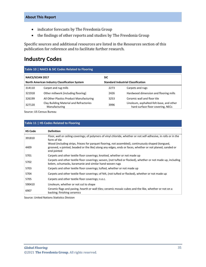- indicator forecasts by The Freedonia Group
- the findings of other reports and studies by The Freedonia Group

Specific sources and additional resources are listed in the Resources section of this publication for reference and to facilitate further research.

## <span id="page-4-0"></span>**Industry Codes**

### <span id="page-4-1"></span>**Table 10 | NAICS & SIC Codes Related to Flooring**

| <b>NAICS/SCIAN 2017</b>                       |                                                          | <b>SIC</b>                                |                                                                               |
|-----------------------------------------------|----------------------------------------------------------|-------------------------------------------|-------------------------------------------------------------------------------|
| North American Industry Classification System |                                                          | <b>Standard Industrial Classification</b> |                                                                               |
| 314110                                        | Carpet and rug mills                                     | 2273                                      | Carpets and rugs                                                              |
| 321918                                        | Other millwork (including flooring)                      | 2426                                      | Hardwood dimension and flooring mills                                         |
| 326199                                        | All Other Plastics Product Manufacturing                 | 3253                                      | Ceramic wall and floor tile                                                   |
| 327120                                        | Clay Building Material and Refractories<br>Manufacturing | 3996                                      | Linoleum, asphalted-felt-base, and other<br>hard-surface floor covering, NECs |

Source: US Census Bureau

#### <span id="page-4-2"></span>**Table 11 | HS Codes Related to Flooring**

| <b>HS Code</b> | <b>Definition</b>                                                                                                                                                                                                              |
|----------------|--------------------------------------------------------------------------------------------------------------------------------------------------------------------------------------------------------------------------------|
| 391810         | Floor, wall or ceiling coverings; of polymers of vinyl chloride, whether or not self-adhesive, in rolls or in the<br>form of tile                                                                                              |
| 4409           | Wood (including strips, friezes for parquet flooring, not assembled), continuously shaped (tongued,<br>grooved, v-jointed, beaded or the like) along any edges, ends or faces, whether or not planed, sanded or<br>end-jointed |
| 5701           | Carpets and other textile floor coverings; knotted, whether or not made up                                                                                                                                                     |
| 5702           | Carpets and other textile floor coverings; woven, (not tufted or flocked), whether or not made up, including<br>kelem, schumacks, karamanie and similar hand-woven rugs                                                        |
| 5703           | Carpets and other textile floor coverings; tufted, whether or not made up                                                                                                                                                      |
| 5704           | Carpets and other textile floor coverings; of felt, (not tufted or flocked), whether or not made up                                                                                                                            |
| 5705           | Carpets and other textile floor coverings; n.e.c.                                                                                                                                                                              |
| 590410         | Linoleum, whether or not cut to shape                                                                                                                                                                                          |
| 6907           | Ceramic flags and paving, hearth or wall tiles; ceramic mosaic cubes and the like, whether or not on a<br>backing; finishing ceramics                                                                                          |

Source: United Nations Statistics Division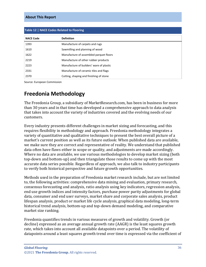#### **About This Report**

<span id="page-5-1"></span>

| Table 12   NACE Codes Related to Flooring |                                          |  |
|-------------------------------------------|------------------------------------------|--|
| <b>NACE Code</b>                          | <b>Definition</b>                        |  |
| 1393                                      | Manufacture of carpets and rugs          |  |
| 1610                                      | Sawmilling and planning of wood          |  |
| 1622                                      | Manufacture of assembled parquet floors  |  |
| 2219                                      | Manufacture of other rubber products     |  |
| 2223                                      | Manufacture of builders' ware of plastic |  |
| 2331                                      | Manufacture of ceramic tiles and flags   |  |
| 2370                                      | Cutting, shaping and finishing of stone  |  |

Source: European Commission

# <span id="page-5-0"></span>**Freedonia Methodology**

The Freedonia Group, a subsidiary of MarketResearch.com, has been in business for more than 30 years and in that time has developed a comprehensive approach to data analysis that takes into account the variety of industries covered and the evolving needs of our customers.

Every industry presents different challenges in market sizing and forecasting, and this requires flexibility in methodology and approach. Freedonia methodology integrates a variety of quantitative and qualitative techniques to present the best overall picture of a market's current position as well as its future outlook: When published data are available, we make sure they are correct and representative of reality. We understand that published data often have flaws either in scope or quality, and adjustments are made accordingly. Where no data are available, we use various methodologies to develop market sizing (both top-down and bottom-up) and then triangulate those results to come up with the most accurate data series possible. Regardless of approach, we also talk to industry participants to verify both historical perspective and future growth opportunities.

Methods used in the preparation of Freedonia market research include, but are not limited to, the following activities: comprehensive data mining and evaluation, primary research, consensus forecasting and analysis, ratio analysis using key indicators, regression analysis, end use growth indices and intensity factors, purchase power parity adjustments for global data, consumer and end user surveys, market share and corporate sales analysis, product lifespan analysis, product or market life cycle analysis, graphical data modeling, long-term historical trend analysis, bottom-up and top-down demand modeling, and comparative market size ranking.

Freedonia quantifies trends in various measures of growth and volatility. Growth (or decline) expressed as an average annual growth rate (AAGR) is the least squares growth rate, which takes into account all available datapoints over a period. The volatility of datapoints around a least squares growth trend over time is expressed via the coefficient of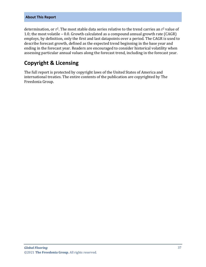#### **About This Report**

determination, or  $r^2$ . The most stable data series relative to the trend carries an  $r^2$  value of 1.0; the most volatile – 0.0. Growth calculated as a compound annual growth rate (CAGR) employs, by definition, only the first and last datapoints over a period. The CAGR is used to describe forecast growth, defined as the expected trend beginning in the base year and ending in the forecast year. Readers are encouraged to consider historical volatility when assessing particular annual values along the forecast trend, including in the forecast year.

# **Copyright & Licensing**

The full report is protected by copyright laws of the United States of America and international treaties. The entire contents of the publication are copyrighted by The Freedonia Group.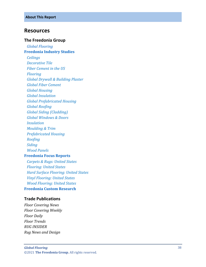## <span id="page-7-0"></span>**Resources**

#### **The Freedonia Group**

 *[Global Flooring](http://www.freedoniagroup.com/DocumentDetails.aspx?ReferrerId=FL-FOCUS&studyid=4042)* **[Freedonia Industry Studies](http://www.freedoniagroup.com/Home.aspx?ReferrerId=FL-Focus)** *[Ceilings](https://www.freedoniagroup.com/DocumentDetails.aspx?ReferrerId=FL-FOCUS&StudyId=3719) [Decorative Tile](https://www.freedoniagroup.com/DocumentDetails.aspx?ReferrerId=FL-FOCUS&StudyId=3697) [Fiber Cement in the US](https://www.freedoniagroup.com/DocumentDetails.aspx?ReferrerId=FL-FOCUS&StudyId=3638) [Flooring](https://www.freedoniagroup.com/DocumentDetails.aspx?ReferrerId=FL-FOCUS&StudyId=3964) [Global Drywall & Building Plaster](https://www.freedoniagroup.com/DocumentDetails.aspx?ReferrerId=FL-FOCUS&StudyId=3768) [Global Fiber Cement](https://www.freedoniagroup.com/DocumentDetails.aspx?ReferrerId=FL-FOCUS&StudyId=3746) [Global Housing](https://www.freedoniagroup.com/DocumentDetails.aspx?ReferrerId=FL-FOCUS&StudyId=3877) [Global Insulation](https://www.freedoniagroup.com/DocumentDetails.aspx?ReferrerId=FL-FOCUS&StudyId=3826) [Global Prefabricated Housing](https://www.freedoniagroup.com/DocumentDetails.aspx?ReferrerId=FL-FOCUS&StudyId=3971) [Global Roofing](https://www.freedoniagroup.com/DocumentDetails.aspx?ReferrerId=FL-FOCUS&StudyId=3698) [Global Siding \(Cladding\)](https://www.freedoniagroup.com/DocumentDetails.aspx?ReferrerId=FL-FOCUS&StudyId=3874) [Global Windows & Doors](https://www.freedoniagroup.com/DocumentDetails.aspx?ReferrerId=FL-FOCUS&StudyId=3771) [Insulation](https://www.freedoniagroup.com/DocumentDetails.aspx?ReferrerId=FL-FOCUS&StudyId=3754) [Moulding & Trim](https://www.freedoniagroup.com/DocumentDetails.aspx?ReferrerId=FL-FOCUS&StudyId=3815) [Prefabricated Housing](https://www.freedoniagroup.com/DocumentDetails.aspx?ReferrerId=FL-FOCUS&StudyId=3814) [Roofing](https://www.freedoniagroup.com/DocumentDetails.aspx?ReferrerId=FL-FOCUS&StudyId=3835) [Siding](https://www.freedoniagroup.com/DocumentDetails.aspx?ReferrerId=FL-FOCUS&StudyId=3775) [Wood Panels](https://www.freedoniagroup.com/DocumentDetails.aspx?ReferrerId=FL-FOCUS&StudyId=3857)* **[Freedonia Focus Reports](https://www.freedoniafocusreports.com/redirect.asp?progid=89534&url=/)** *[Carpets & Rugs: United States](https://www.freedoniafocusreports.com/Carpets-Rugs-United-States-FF15024/?progid=89534) [Flooring: United States](https://www.freedoniafocusreports.com/Flooring-United-States-FF60053/?progid=89534) [Hard Surface Flooring: United States](https://www.freedoniafocusreports.com/Hard-Surface-Flooring-United-States-FF60047/?progid=89534) [Vinyl Flooring: United States](https://www.freedoniafocusreports.com/Vinyl-Flooring-United-States-FF60065/?progid=89534) [Wood Flooring: United States](https://www.freedoniafocusreports.com/Wood-Flooring-United-States-FF20014/?progid=89534)* **[Freedonia Custom Research](http://www.freedoniagroup.com/CustomResearch.aspx?ReferrerId=FL-Focus)**

#### **Trade Publications**

*Floor Covering News Floor Covering Weekly Floor Daily Floor Trends RUG INSIDER Rug News and Design*